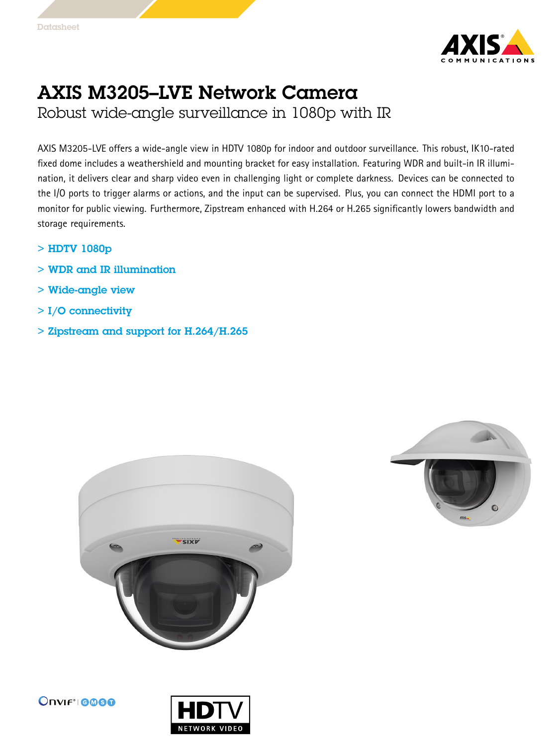

## AXIS M3205–LVE Network Camera Robust wide-angle surveillance in 1080p with IR

AXIS M3205-LVE offers <sup>a</sup> wide-angle view in HDTV 1080p for indoor and outdoor surveillance. This robust, IK10-rated fixed dome includes <sup>a</sup> weathershield and mounting bracket for easy installation. Featuring WDR and built-in IR illumination, it delivers clear and sharp video even in challenging light or complete darkness. Devices can be connected to the I/O ports to trigger alarms or actions, and the input can be supervised. Plus, you can connect the HDMI port to <sup>a</sup> monitor for public viewing. Furthermore, Zipstream enhanced with H.264 or H.265 significantly lowers bandwidth and storage requirements.

- > HDTV 1080p
- > WDR and IR illumination
- > Wide-angle view
- > I/O connectivity
- > Zipstream and support for H.264/H.265







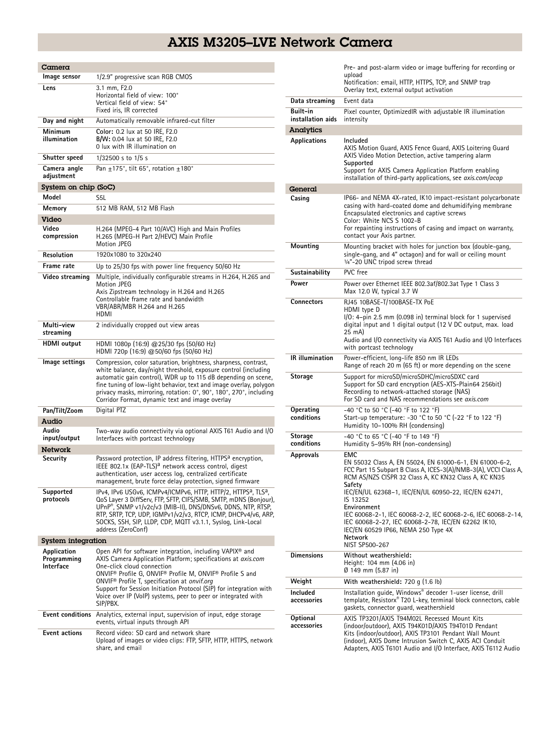## AXIS M3205–LVE Network Camera

| Camera                                         |                                                                                                                                                                                                                                                                                                                                                                                                                                  |  |
|------------------------------------------------|----------------------------------------------------------------------------------------------------------------------------------------------------------------------------------------------------------------------------------------------------------------------------------------------------------------------------------------------------------------------------------------------------------------------------------|--|
| Image sensor                                   | 1/2.9" progressive scan RGB CMOS                                                                                                                                                                                                                                                                                                                                                                                                 |  |
| Lens                                           | 3.1 mm, F2.0<br>Horizontal field of view: 100°<br>Vertical field of view: 54°<br>Fixed iris, IR corrected                                                                                                                                                                                                                                                                                                                        |  |
| Day and night                                  | Automatically removable infrared-cut filter                                                                                                                                                                                                                                                                                                                                                                                      |  |
| Minimum<br>illumination                        | Color: 0.2 lux at 50 IRE, F2.0<br>B/W: 0.04 lux at 50 IRE, F2.0<br>0 lux with IR illumination on                                                                                                                                                                                                                                                                                                                                 |  |
| Shutter speed                                  | $1/32500$ s to $1/5$ s                                                                                                                                                                                                                                                                                                                                                                                                           |  |
| Camera angle<br>adjustment                     | Pan $\pm$ 175°, tilt 65°, rotation $\pm$ 180°                                                                                                                                                                                                                                                                                                                                                                                    |  |
| System on chip (SoC)                           |                                                                                                                                                                                                                                                                                                                                                                                                                                  |  |
| Model                                          | S5L                                                                                                                                                                                                                                                                                                                                                                                                                              |  |
| Memory                                         | 512 MB RAM, 512 MB Flash                                                                                                                                                                                                                                                                                                                                                                                                         |  |
| Video<br>Video<br>compression                  | H.264 (MPEG-4 Part 10/AVC) High and Main Profiles<br>H.265 (MPEG-H Part 2/HEVC) Main Profile<br><b>Motion JPEG</b>                                                                                                                                                                                                                                                                                                               |  |
| Resolution                                     | 1920x1080 to 320x240                                                                                                                                                                                                                                                                                                                                                                                                             |  |
| Frame rate                                     | Up to 25/30 fps with power line frequency 50/60 Hz                                                                                                                                                                                                                                                                                                                                                                               |  |
| Video streaming                                | Multiple, individually configurable streams in H.264, H.265 and<br>Motion JPEG<br>Axis Zipstream technology in H.264 and H.265<br>Controllable frame rate and bandwidth<br>VBR/ABR/MBR H.264 and H.265<br>HDMI                                                                                                                                                                                                                   |  |
| Multi-view<br>streaming                        | 2 individually cropped out view areas                                                                                                                                                                                                                                                                                                                                                                                            |  |
| <b>HDMI</b> output                             | HDMI 1080p (16:9) @25/30 fps (50/60 Hz)<br>HDMI 720p (16:9) @50/60 fps (50/60 Hz)                                                                                                                                                                                                                                                                                                                                                |  |
| lmage settings                                 | Compression, color saturation, brightness, sharpness, contrast,<br>white balance, day/night threshold, exposure control (including<br>automatic gain control), WDR up to 115 dB depending on scene,<br>fine tuning of low-light behavior, text and image overlay, polygon<br>privacy masks, mirroring, rotation: 0°, 90°, 180°, 270°, including<br>Corridor Format, dynamic text and image overlay                               |  |
| Pan/Tilt/Zoom                                  | Digital PTZ                                                                                                                                                                                                                                                                                                                                                                                                                      |  |
| Audio                                          |                                                                                                                                                                                                                                                                                                                                                                                                                                  |  |
| Audio<br>input/output                          | Two-way audio connectivity via optional AXIS T61 Audio and I/O<br>Interfaces with portcast technology                                                                                                                                                                                                                                                                                                                            |  |
| <b>Network</b>                                 |                                                                                                                                                                                                                                                                                                                                                                                                                                  |  |
| Security                                       | Password protection, IP address filtering, HTTPS <sup>a</sup> encryption,<br>IEEE 802.1x (EAP-TLS) <sup>a</sup> network access control, digest<br>authentication, user access log, centralized certificate<br>management, brute force delay protection, signed firmware                                                                                                                                                          |  |
| Supported<br>protocols                         | IPv4, IPv6 USGv6, ICMPv4/ICMPv6, HTTP, HTTP/2, HTTPS <sup>a</sup> , TLS <sup>a</sup> ,<br>QoS Layer 3 DiffServ, FTP, SFTP, CIFS/SMB, SMTP, mDNS (Bonjour),<br>UPnP®, SNMP v1/v2c/v3 (MIB-II), DNS/DNSv6, DDNS, NTP, RTSP,<br>RTP, SRTP, TCP, UDP, IGMPv1/v2/v3, RTCP, ICMP, DHCPv4/v6, ARP,<br>SOCKS, SSH, SIP, LLDP, CDP, MQTT v3.1.1, Syslog, Link-Local<br>address (ZeroConf)                                                 |  |
| System integration                             |                                                                                                                                                                                                                                                                                                                                                                                                                                  |  |
| Application<br>Programming<br><b>Interface</b> | Open API for software integration, including VAPIX® and<br>AXIS Camera Application Platform; specifications at axis.com<br>One-click cloud connection<br>ONVIF® Profile G, ONVIF® Profile M, ONVIF® Profile S and<br>ONVIF <sup>®</sup> Profile T, specification at onvif.org<br>Support for Session Initiation Protocol (SIP) for integration with<br>Voice over IP (VoIP) systems, peer to peer or integrated with<br>SIP/PBX. |  |
| Event conditions                               | Analytics, external input, supervision of input, edge storage<br>events, virtual inputs through API                                                                                                                                                                                                                                                                                                                              |  |
| <b>Event actions</b>                           | Record video: SD card and network share<br>Upload of images or video clips: FTP, SFTP, HTTP, HTTPS, network<br>share, and email                                                                                                                                                                                                                                                                                                  |  |

|                               | Pre- and post-alarm video or image buffering for recording or                                                                                                                                                                                                                                      |
|-------------------------------|----------------------------------------------------------------------------------------------------------------------------------------------------------------------------------------------------------------------------------------------------------------------------------------------------|
|                               | upload<br>Notification: email, HTTP, HTTPS, TCP, and SNMP trap<br>Overlay text, external output activation                                                                                                                                                                                         |
| Data streaming                | Event data                                                                                                                                                                                                                                                                                         |
| Built-in<br>installation aids | Pixel counter, OptimizedIR with adjustable IR illumination<br>intensity                                                                                                                                                                                                                            |
| Analytics                     |                                                                                                                                                                                                                                                                                                    |
| <b>Applications</b>           | Included<br>AXIS Motion Guard, AXIS Fence Guard, AXIS Loitering Guard<br>AXIS Video Motion Detection, active tampering alarm<br>Supported<br>Support for AXIS Camera Application Platform enabling<br>installation of third-party applications, see <i>axis.com/acap</i>                           |
| General                       |                                                                                                                                                                                                                                                                                                    |
| Casing                        | IP66- and NEMA 4X-rated, IK10 impact-resistant polycarbonate<br>casing with hard-coated dome and dehumidifying membrane<br>Encapsulated electronics and captive screws<br>Color: White NCS S 1002-B<br>For repainting instructions of casing and impact on warranty,<br>contact your Axis partner. |
| Mounting                      | Mounting bracket with holes for junction box (double-gang,<br>single-gang, and 4" octagon) and for wall or ceiling mount<br>1/4"-20 UNC tripod screw thread                                                                                                                                        |
| Sustainability                | PVC free                                                                                                                                                                                                                                                                                           |
| Power                         | Power over Ethernet IEEE 802.3af/802.3at Type 1 Class 3<br>Max 12.0 W, typical 3.7 W                                                                                                                                                                                                               |
| <b>Connectors</b>             | RJ45 10BASE-T/100BASE-TX PoE<br>HDMI type D<br>I/O: 4-pin 2.5 mm (0.098 in) terminal block for 1 supervised<br>digital input and 1 digital output (12 V DC output, max. load<br>25 mA)<br>Audio and I/O connectivity via AXIS T61 Audio and I/O Interfaces<br>with portcast technology             |
| IR illumination               | Power-efficient, long-life 850 nm IR LEDs<br>Range of reach 20 m (65 ft) or more depending on the scene                                                                                                                                                                                            |
| Storage                       | Support for microSD/microSDHC/microSDXC card<br>Support for SD card encryption (AES-XTS-Plain64 256bit)<br>Recording to network-attached storage (NAS)<br>For SD card and NAS recommendations see axis.com                                                                                         |
| Operating<br>conditions       | -40 °C to 50 °C (-40 °F to 122 °F)<br>Start-up temperature: -30 °C to 50 °C (-22 °F to 122 °F)<br>Humidity 10-100% RH (condensing)                                                                                                                                                                 |
| Storage<br>conditions         | -40 °C to 65 °C (-40 °F to 149 °F)<br>Humidity 5-95% RH (non-condensing)                                                                                                                                                                                                                           |
| Approvals                     | EMC<br>EN 55032 Class A, EN 55024, EN 61000-6-1, EN 61000-6-2,<br>FCC Part 15 Subpart B Class A, ICES-3(A)/NMB-3(A), VCCI Class A,<br>RCM AS/NZS CISPR 32 Class A, KC KN32 Class A, KC KN35<br>Safety<br>IEC/EN/UL 62368-1, IEC/EN/UL 60950-22, IEC/EN 62471,                                      |
|                               | IS 13252<br>Environment<br>IEC 60068-2-1, IEC 60068-2-2, IEC 60068-2-6, IEC 60068-2-14,<br>IEC 60068-2-27, IEC 60068-2-78, IEC/EN 62262 IK10,<br>IEC/EN 60529 IP66, NEMA 250 Type 4X<br><b>Network</b><br>NIST SP500-267                                                                           |
| <b>Dimensions</b>             | Without weathershield:<br>Height: 104 mm (4.06 in)<br>Ø 149 mm (5.87 in)                                                                                                                                                                                                                           |
| Weight                        | With weathershield: 720 g (1.6 lb)                                                                                                                                                                                                                                                                 |
| Included<br>accessories       | Installation guide, Windows® decoder 1-user license, drill<br>template, Resistorx® T20 L-key, terminal block connectors, cable<br>gaskets, connector quard, weathershield                                                                                                                          |
| Optional<br>accessories       | AXIS TP3201/AXIS T94M02L Recessed Mount Kits<br>(indoor/outdoor), AXIS T94K01D/AXIS T94T01D Pendant<br>Kits (indoor/outdoor), AXIS TP3101 Pendant Wall Mount<br>(indoor), AXIS Dome Intrusion Switch C, AXIS ACI Conduit<br>Adapters, AXIS T6101 Audio and I/O Interface, AXIS T6112 Audio         |